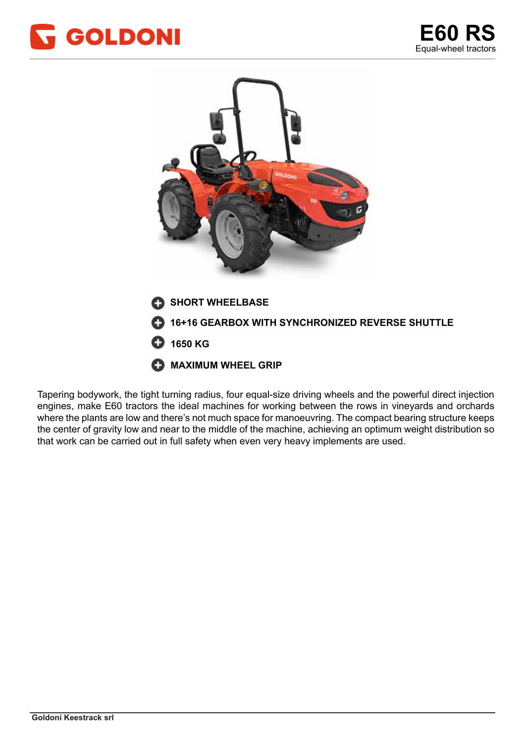



Tapering bodywork, the tight turning radius, four equal-size driving wheels and the powerful direct injection engines, make E60 tractors the ideal machines for working between the rows in vineyards and orchards where the plants are low and there's not much space for manoeuvring. The compact bearing structure keeps the center of gravity low and near to the middle of the machine, achieving an optimum weight distribution so that work can be carried out in full safety when even very heavy implements are used.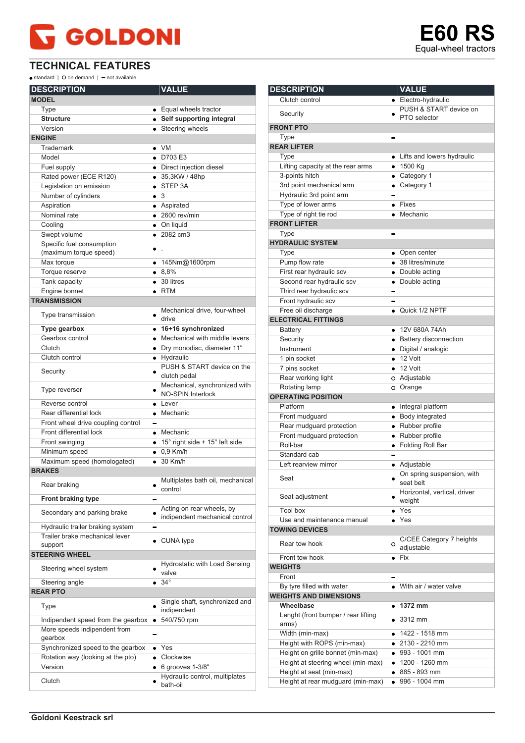## **PRICE LIST**

## **TECHNICAL FEATURES**

 $\bullet$  standard |  $\bullet$  on demand |  $\bullet$  not available

| <b>DESCRIPTION</b>                      |           | <b>VALUE</b>                                                |
|-----------------------------------------|-----------|-------------------------------------------------------------|
| <b>MODEL</b>                            |           |                                                             |
| Type                                    |           | • Equal wheels tractor                                      |
| <b>Structure</b>                        |           | • Self supporting integral                                  |
| Version                                 |           | • Steering wheels                                           |
| <b>ENGINE</b>                           |           |                                                             |
| Trademark                               |           | $\bullet$ VM                                                |
| Model                                   |           | $-$ D703 E3                                                 |
| Fuel supply                             |           | • Direct injection diesel                                   |
| Rated power (ECE R120)                  |           | ● 35,3KW / 48hp                                             |
| Legislation on emission                 |           | $\bullet$ STEP 3A                                           |
| Number of cylinders                     |           | $\bullet$ 3                                                 |
| Aspiration                              |           | • Aspirated                                                 |
| Nominal rate                            |           | $\bullet$ 2600 rev/min                                      |
| Cooling                                 |           | • On liquid                                                 |
| Swept volume                            |           | $\bullet$ 2082 cm3                                          |
| Specific fuel consumption               |           |                                                             |
| (maximum torque speed)                  |           |                                                             |
| Max torque                              |           | • 145Nm@1600rpm                                             |
| Torque reserve                          |           | • 8.8%                                                      |
| Tank capacity                           |           | $\bullet$ 30 litres                                         |
| Engine bonnet                           |           | $\bullet$ RTM                                               |
| <b>TRANSMISSION</b>                     |           |                                                             |
| Type transmission                       |           | Mechanical drive, four-wheel<br>drive                       |
| <b>Type gearbox</b>                     |           | • 16+16 synchronized                                        |
| Gearbox control                         | $\bullet$ | Mechanical with middle levers                               |
| Clutch                                  |           | • Dry monodisc, diameter 11"                                |
| Clutch control                          |           | • Hydraulic                                                 |
|                                         |           | PUSH & START device on the                                  |
| Security                                |           | clutch pedal                                                |
| Type reverser                           |           | Mechanical, synchronized with<br><b>NO-SPIN Interlock</b>   |
| Reverse control                         |           | $\bullet$ Lever                                             |
| Rear differential lock                  |           | • Mechanic                                                  |
| Front wheel drive coupling control      | -         |                                                             |
| Front differential lock                 |           | • Mechanic                                                  |
| Front swinging                          |           | $\bullet$ 15° right side + 15° left side                    |
| Minimum speed                           |           | $\bullet$ 0.9 Km/h                                          |
| Maximum speed (homologated)             |           | $30$ Km/h                                                   |
| <b>BRAKES</b>                           |           |                                                             |
| Rear braking                            |           | Multiplates bath oil, mechanical<br>control                 |
| Front braking type                      |           |                                                             |
| Secondary and parking brake             |           | Acting on rear wheels, by<br>indipendent mechanical control |
| Hydraulic trailer braking system        |           |                                                             |
| Trailer brake mechanical lever          |           | $\bullet$ CUNA type                                         |
| support                                 |           |                                                             |
| <b>STEERING WHEEL</b>                   |           |                                                             |
| Steering wheel system                   |           | <b>Hydrostatic with Load Sensing</b><br>valve               |
| Steering angle                          |           | $\bullet$ 34 $^{\circ}$                                     |
| <b>REAR PTO</b>                         |           |                                                             |
| <b>Type</b>                             |           | Single shaft, synchronized and<br>indipendent               |
| Indipendent speed from the gearbox      | ٠         | 540/750 rpm                                                 |
| More speeds indipendent from<br>gearbox |           |                                                             |
| Synchronized speed to the gearbox       |           | Yes                                                         |
| Rotation way (looking at the pto)       |           | Clockwise                                                   |
| Version                                 | $\bullet$ | 6 grooves 1-3/8"                                            |
| Clutch                                  |           | Hydraulic control, multiplates                              |
|                                         |           | bath-oil                                                    |

| <b>DESCRIPTION</b>                  | <b>VALUE</b>                 |
|-------------------------------------|------------------------------|
| Clutch control                      | • Electro-hydraulic          |
|                                     | PUSH & START device on       |
| Security                            | PTO selector                 |
| <b>FRONT PTO</b>                    |                              |
| Type                                |                              |
| <b>REAR LIFTER</b>                  |                              |
| Type                                | • Lifts and lowers hydraulic |
| Lifting capacity at the rear arms   | • $1500$ Kg                  |
| 3-points hitch                      | • Category 1                 |
| 3rd point mechanical arm            | • Category 1                 |
| Hydraulic 3rd point arm             |                              |
| Type of lower arms                  | $\bullet$ Fixes              |
| Type of right tie rod               | • Mechanic                   |
| <b>FRONT LIFTER</b>                 |                              |
| Type                                |                              |
| <b>HYDRAULIC SYSTEM</b>             |                              |
| Type                                | • Open center                |
| Pump flow rate                      | • 38 litres/minute           |
| First rear hydraulic scv            | • Double acting              |
| Second rear hydraulic scv           | • Double acting              |
| Third rear hydraulic scv            |                              |
| Front hydraulic scv                 |                              |
| Free oil discharge                  | • Quick 1/2 NPTF             |
| <b>ELECTRICAL FITTINGS</b>          |                              |
| Battery                             | ● 12V 680A 74Ah              |
| Security                            | • Battery disconnection      |
| Instrument                          | · Digital / analogic         |
| 1 pin socket                        | $\bullet$ 12 Volt            |
| 7 pins socket                       | $\bullet$ 12 Volt            |
| Rear working light                  | o Adjustable                 |
| Rotating lamp                       | o Orange                     |
| <b>OPERATING POSITION</b>           |                              |
| Platform                            | • Integral platform          |
| Front mudguard                      | • Body integrated            |
| Rear mudguard protection            | • Rubber profile             |
| Front mudguard protection           | • Rubber profile             |
| Roll-bar                            | • Folding Roll Bar           |
| Standard cab                        |                              |
| Left rearview mirror                | $\bullet$ Adjustable         |
|                                     | On spring suspension, with   |
| Seat                                | seat belt                    |
|                                     | Horizontal, vertical, driver |
| Seat adjustment                     | weight                       |
| Tool box                            | $\bullet$ Yes                |
| Use and maintenance manual          | $\bullet$ Yes                |
| <b>TOWING DEVICES</b>               |                              |
|                                     | C/CEE Category 7 heights     |
| Rear tow hook                       | O<br>adjustable              |
| Front tow hook                      | $\bullet$ Fix                |
| <b>WEIGHTS</b>                      |                              |
| Front                               |                              |
| By tyre filled with water           | With air / water valve       |
| <b>WEIGHTS AND DIMENSIONS</b>       |                              |
| Wheelbase                           | 1372 mm                      |
| Lenght (front bumper / rear lifting | $\bullet$ 3312 mm            |
| arms)                               |                              |
| Width (min-max)                     | $\bullet$ 1422 - 1518 mm     |
| Height with ROPS (min-max)          | $\bullet$ 2130 - 2210 mm     |
| Height on grille bonnet (min-max)   | $\bullet$ 993 - 1001 mm      |
| Height at steering wheel (min-max)  | $\bullet$ 1200 - 1260 mm     |
| Height at seat (min-max)            | 885 - 893 mm<br>$\bullet$    |
| Height at rear mudguard (min-max)   | 996 - 1004 mm<br>$\bullet$   |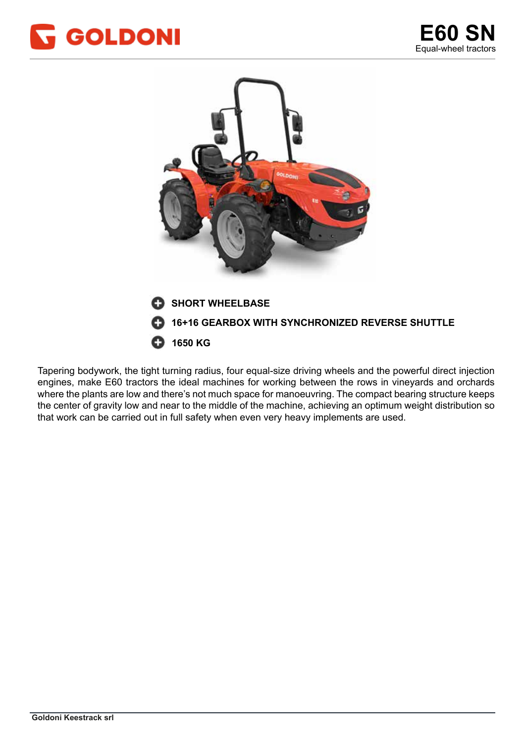



Tapering bodywork, the tight turning radius, four equal-size driving wheels and the powerful direct injection engines, make E60 tractors the ideal machines for working between the rows in vineyards and orchards where the plants are low and there's not much space for manoeuvring. The compact bearing structure keeps the center of gravity low and near to the middle of the machine, achieving an optimum weight distribution so that work can be carried out in full safety when even very heavy implements are used.